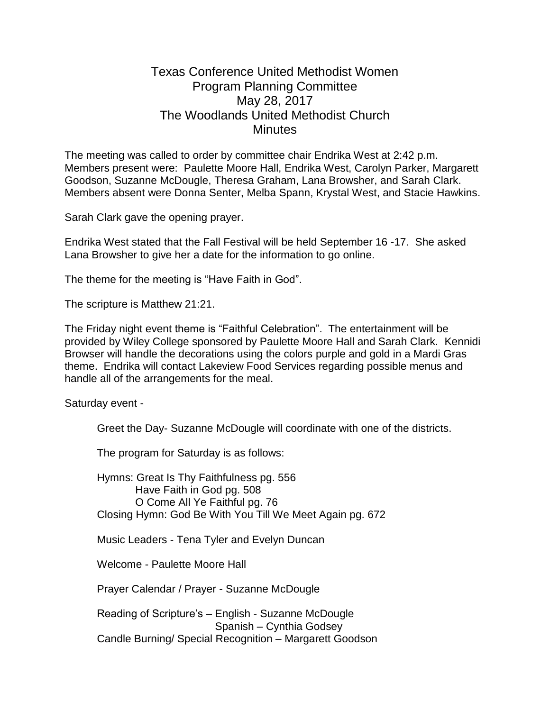## Texas Conference United Methodist Women Program Planning Committee May 28, 2017 The Woodlands United Methodist Church **Minutes**

The meeting was called to order by committee chair Endrika West at 2:42 p.m. Members present were: Paulette Moore Hall, Endrika West, Carolyn Parker, Margarett Goodson, Suzanne McDougle, Theresa Graham, Lana Browsher, and Sarah Clark. Members absent were Donna Senter, Melba Spann, Krystal West, and Stacie Hawkins.

Sarah Clark gave the opening prayer.

Endrika West stated that the Fall Festival will be held September 16 -17. She asked Lana Browsher to give her a date for the information to go online.

The theme for the meeting is "Have Faith in God".

The scripture is Matthew 21:21.

The Friday night event theme is "Faithful Celebration". The entertainment will be provided by Wiley College sponsored by Paulette Moore Hall and Sarah Clark. Kennidi Browser will handle the decorations using the colors purple and gold in a Mardi Gras theme. Endrika will contact Lakeview Food Services regarding possible menus and handle all of the arrangements for the meal.

Saturday event -

Greet the Day- Suzanne McDougle will coordinate with one of the districts.

The program for Saturday is as follows:

Hymns: Great Is Thy Faithfulness pg. 556 Have Faith in God pg. 508 O Come All Ye Faithful pg. 76 Closing Hymn: God Be With You Till We Meet Again pg. 672

Music Leaders - Tena Tyler and Evelyn Duncan

Welcome - Paulette Moore Hall

Prayer Calendar / Prayer - Suzanne McDougle

Reading of Scripture's – English - Suzanne McDougle Spanish – Cynthia Godsey Candle Burning/ Special Recognition – Margarett Goodson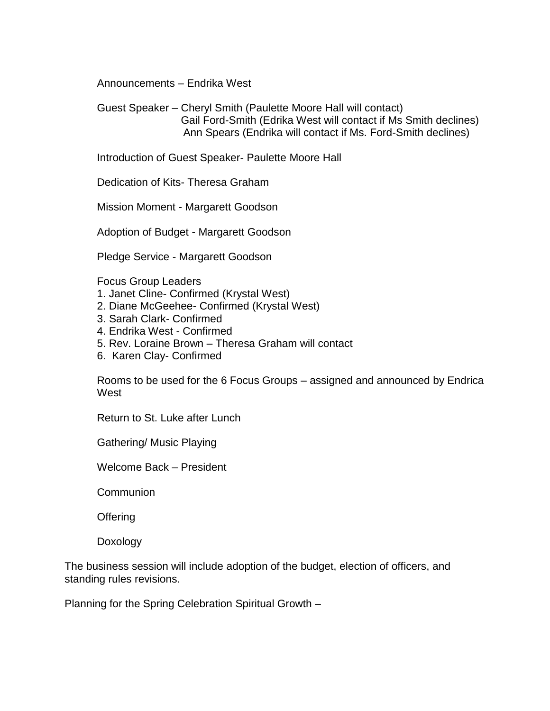Announcements – Endrika West

Guest Speaker – Cheryl Smith (Paulette Moore Hall will contact) Gail Ford-Smith (Edrika West will contact if Ms Smith declines) Ann Spears (Endrika will contact if Ms. Ford-Smith declines)

Introduction of Guest Speaker- Paulette Moore Hall

Dedication of Kits- Theresa Graham

Mission Moment - Margarett Goodson

Adoption of Budget - Margarett Goodson

Pledge Service - Margarett Goodson

Focus Group Leaders

- 1. Janet Cline- Confirmed (Krystal West)
- 2. Diane McGeehee- Confirmed (Krystal West)
- 3. Sarah Clark- Confirmed
- 4. Endrika West Confirmed
- 5. Rev. Loraine Brown Theresa Graham will contact
- 6. Karen Clay- Confirmed

Rooms to be used for the 6 Focus Groups – assigned and announced by Endrica **West** 

Return to St. Luke after Lunch

Gathering/ Music Playing

Welcome Back – President

**Communion** 

**Offering** 

Doxology

The business session will include adoption of the budget, election of officers, and standing rules revisions.

Planning for the Spring Celebration Spiritual Growth –